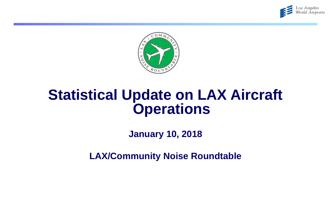



## **Statistical Update on LAX Aircraft Operations**

**January 10, 2018**

**LAX/Community Noise Roundtable**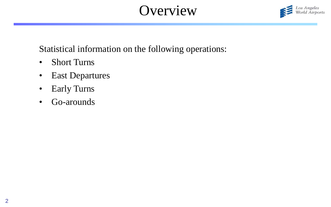# **Overview**



Statistical information on the following operations:

- Short Turns
- East Departures
- Early Turns
- Go-arounds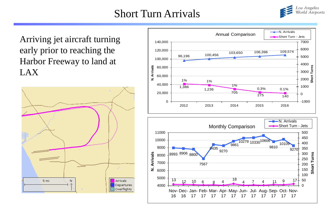## Short Turn Arrivals



Arriving jet aircraft turning early prior to reaching the Harbor Freeway to land at LAX





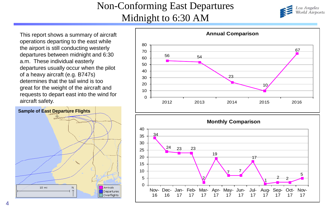### Non-Conforming East Departures Midnight to 6:30 AM



This report shows a summary of aircraft operations departing to the east while the airport is still conducting westerly departures between midnight and 6:30 a.m. These individual easterly departures usually occur when the pilot of a heavy aircraft (e.g. B747s) determines that the tail wind is too great for the weight of the aircraft and requests to depart east into the wind for aircraft safety.





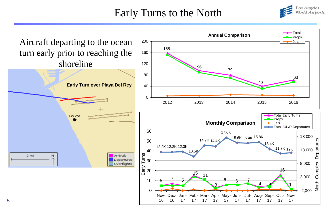## Early Turns to the North



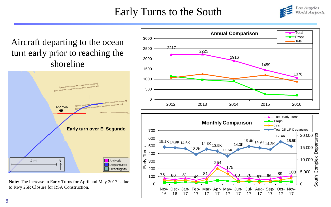## Early Turns to the South



Aircraft departing to the ocean turn early prior to reaching the shoreline



**Note:** The increase in Early Turns for April and May 2017 is due to Rwy 25R Closure for RSA Construction.



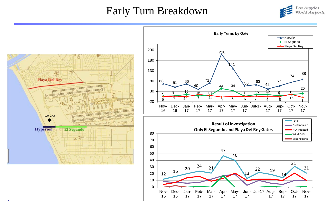### Early Turn Breakdown





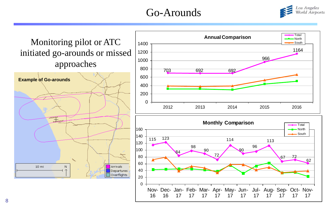## Go-Arounds